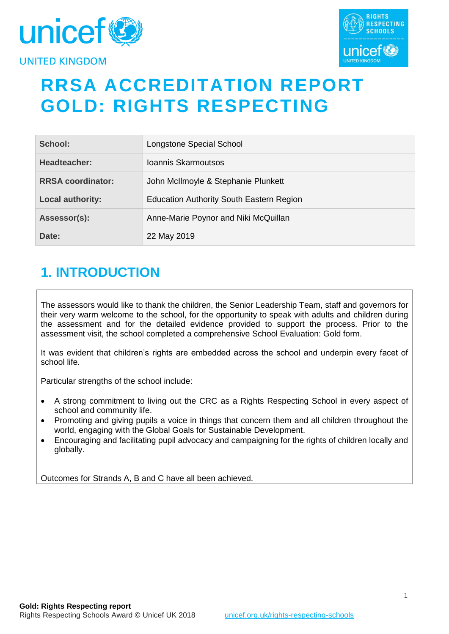



# **RRSA ACCREDITATION REPORT GOLD: RIGHTS RESPECTING**

| School:                  | Longstone Special School                        |
|--------------------------|-------------------------------------------------|
| Headteacher:             | Joannis Skarmoutsos                             |
| <b>RRSA coordinator:</b> | John McIlmoyle & Stephanie Plunkett             |
| <b>Local authority:</b>  | <b>Education Authority South Eastern Region</b> |
| Assessor(s):             | Anne-Marie Poynor and Niki McQuillan            |
| Date:                    | 22 May 2019                                     |

# **1. INTRODUCTION**

The assessors would like to thank the children, the Senior Leadership Team, staff and governors for their very warm welcome to the school, for the opportunity to speak with adults and children during the assessment and for the detailed evidence provided to support the process. Prior to the assessment visit, the school completed a comprehensive School Evaluation: Gold form.

It was evident that children's rights are embedded across the school and underpin every facet of school life.

Particular strengths of the school include:

- A strong commitment to living out the CRC as a Rights Respecting School in every aspect of school and community life.
- Promoting and giving pupils a voice in things that concern them and all children throughout the world, engaging with the Global Goals for Sustainable Development.
- Encouraging and facilitating pupil advocacy and campaigning for the rights of children locally and globally.

Outcomes for Strands A, B and C have all been achieved.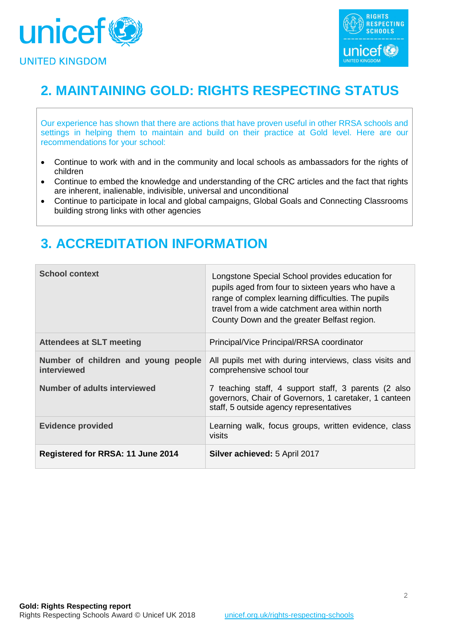



# **2. MAINTAINING GOLD: RIGHTS RESPECTING STATUS**

Our experience has shown that there are actions that have proven useful in other RRSA schools and settings in helping them to maintain and build on their practice at Gold level. Here are our recommendations for your school:

- Continue to work with and in the community and local schools as ambassadors for the rights of children
- Continue to embed the knowledge and understanding of the CRC articles and the fact that rights are inherent, inalienable, indivisible, universal and unconditional
- Continue to participate in local and global campaigns, Global Goals and Connecting Classrooms building strong links with other agencies

### **3. ACCREDITATION INFORMATION**

| <b>School context</b>                              | Longstone Special School provides education for<br>pupils aged from four to sixteen years who have a<br>range of complex learning difficulties. The pupils<br>travel from a wide catchment area within north<br>County Down and the greater Belfast region. |
|----------------------------------------------------|-------------------------------------------------------------------------------------------------------------------------------------------------------------------------------------------------------------------------------------------------------------|
| <b>Attendees at SLT meeting</b>                    | Principal/Vice Principal/RRSA coordinator                                                                                                                                                                                                                   |
| Number of children and young people<br>interviewed | All pupils met with during interviews, class visits and<br>comprehensive school tour                                                                                                                                                                        |
| <b>Number of adults interviewed</b>                | 7 teaching staff, 4 support staff, 3 parents (2 also<br>governors, Chair of Governors, 1 caretaker, 1 canteen<br>staff, 5 outside agency representatives                                                                                                    |
| <b>Evidence provided</b>                           | Learning walk, focus groups, written evidence, class<br>visits                                                                                                                                                                                              |
| <b>Registered for RRSA: 11 June 2014</b>           | <b>Silver achieved: 5 April 2017</b>                                                                                                                                                                                                                        |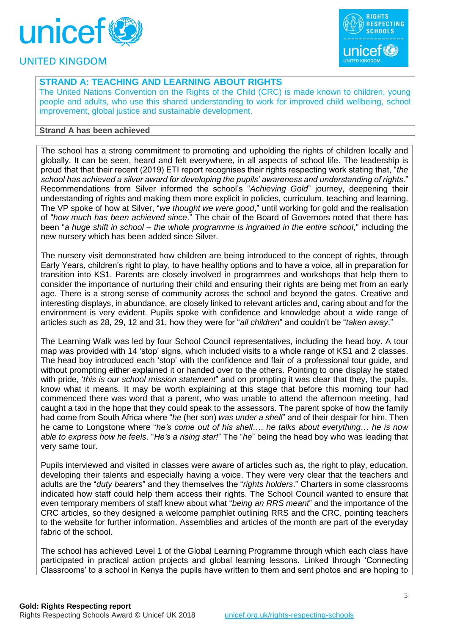



#### **STRAND A: TEACHING AND LEARNING ABOUT RIGHTS**

The United Nations Convention on the Rights of the Child (CRC) is made known to children, young people and adults, who use this shared understanding to work for improved child wellbeing, school improvement, global justice and sustainable development.

#### **Strand A has been achieved**

The school has a strong commitment to promoting and upholding the rights of children locally and globally. It can be seen, heard and felt everywhere, in all aspects of school life. The leadership is proud that that their recent (2019) ETI report recognises their rights respecting work stating that, "*the school has achieved a silver award for developing the pupils' awareness and understanding of rights*." Recommendations from Silver informed the school's "*Achieving Gold*" journey, deepening their understanding of rights and making them more explicit in policies, curriculum, teaching and learning. The VP spoke of how at Silver, "*we thought we were good*," until working for gold and the realisation of "*how much has been achieved since*." The chair of the Board of Governors noted that there has been "*a huge shift in school* – *the whole programme is ingrained in the entire school*," including the new nursery which has been added since Silver.

The nursery visit demonstrated how children are being introduced to the concept of rights, through Early Years, children's right to play, to have healthy options and to have a voice, all in preparation for transition into KS1. Parents are closely involved in programmes and workshops that help them to consider the importance of nurturing their child and ensuring their rights are being met from an early age. There is a strong sense of community across the school and beyond the gates. Creative and interesting displays, in abundance, are closely linked to relevant articles and, caring about and for the environment is very evident. Pupils spoke with confidence and knowledge about a wide range of articles such as 28, 29, 12 and 31, how they were for "*all children*" and couldn't be "*taken away*."

The Learning Walk was led by four School Council representatives, including the head boy. A tour map was provided with 14 'stop' signs, which included visits to a whole range of KS1 and 2 classes. The head boy introduced each 'stop' with the confidence and flair of a professional tour guide, and without prompting either explained it or handed over to the others. Pointing to one display he stated with pride, '*this is our school mission statement*" and on prompting it was clear that they, the pupils, know what it means. It may be worth explaining at this stage that before this morning tour had commenced there was word that a parent, who was unable to attend the afternoon meeting, had caught a taxi in the hope that they could speak to the assessors. The parent spoke of how the family had come from South Africa where "*he* (her son) *was under a shell*" and of their despair for him. Then he came to Longstone where "*he's come out of his shell*…. *he talks about eve*r*ything*… *he is now able to express how he feels*. "*He's a rising star!*" The "*he*" being the head boy who was leading that very same tour.

Pupils interviewed and visited in classes were aware of articles such as, the right to play, education, developing their talents and especially having a voice. They were very clear that the teachers and adults are the "*duty bearers*" and they themselves the "*rights holders*." Charters in some classrooms indicated how staff could help them access their rights. The School Council wanted to ensure that even temporary members of staff knew about what "*being an RRS meant*" and the importance of the CRC articles, so they designed a welcome pamphlet outlining RRS and the CRC, pointing teachers to the website for further information. Assemblies and articles of the month are part of the everyday fabric of the school.

The school has achieved Level 1 of the Global Learning Programme through which each class have participated in practical action projects and global learning lessons. Linked through 'Connecting Classrooms' to a school in Kenya the pupils have written to them and sent photos and are hoping to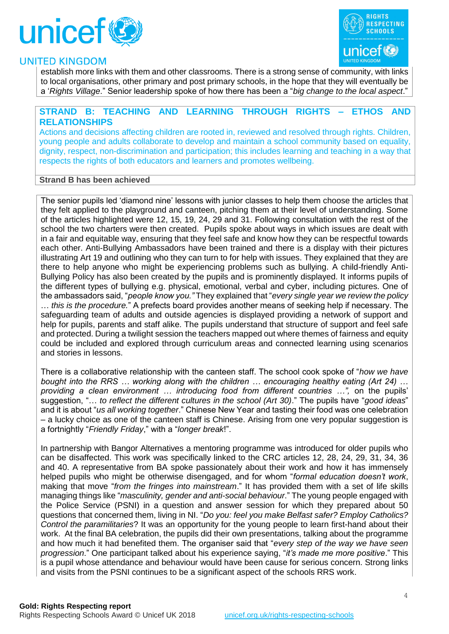



establish more links with them and other classrooms. There is a strong sense of community, with links to local organisations, other primary and post primary schools, in the hope that they will eventually be a '*Rights Village*." Senior leadership spoke of how there has been a "*big change to the local aspect*."

#### **STRAND B: TEACHING AND LEARNING THROUGH RIGHTS – ETHOS AND RELATIONSHIPS**

Actions and decisions affecting children are rooted in, reviewed and resolved through rights. Children, young people and adults collaborate to develop and maintain a school community based on equality, dignity, respect, non-discrimination and participation; this includes learning and teaching in a way that respects the rights of both educators and learners and promotes wellbeing.

#### **Strand B has been achieved**

The senior pupils led 'diamond nine' lessons with junior classes to help them choose the articles that they felt applied to the playground and canteen, pitching them at their level of understanding. Some of the articles highlighted were 12, 15, 19, 24, 29 and 31. Following consultation with the rest of the school the two charters were then created. Pupils spoke about ways in which issues are dealt with in a fair and equitable way, ensuring that they feel safe and know how they can be respectful towards each other. Anti-Bullying Ambassadors have been trained and there is a display with their pictures illustrating Art 19 and outlining who they can turn to for help with issues. They explained that they are there to help anyone who might be experiencing problems such as bullying. A child-friendly Anti-Bullying Policy has also been created by the pupils and is prominently displayed. It informs pupils of the different types of bullying e.g. physical, emotional, verbal and cyber, including pictures. One of the ambassadors said, "*people know you."* They explained that "*every single year we review the policy* … *this is the procedure.*" A prefects board provides another means of seeking help if necessary. The safeguarding team of adults and outside agencies is displayed providing a network of support and help for pupils, parents and staff alike. The pupils understand that structure of support and feel safe and protected. During a twilight session the teachers mapped out where themes of fairness and equity could be included and explored through curriculum areas and connected learning using scenarios and stories in lessons.

There is a collaborative relationship with the canteen staff. The school cook spoke of "*how we have bought into the RRS … working along with the children … encouraging healthy eating (Art 24) … providing a clean environment … introducing food from different countries …",* on the pupils' suggestion, "… *to reflect the different cultures in the school (Art 30)*." The pupils have "*good ideas*" and it is about "*us all working together*." Chinese New Year and tasting their food was one celebration – a lucky choice as one of the canteen staff is Chinese. Arising from one very popular suggestion is a fortnightly "*Friendly Friday*," with a "*longer break*!".

In partnership with Bangor Alternatives a mentoring programme was introduced for older pupils who can be disaffected. This work was specifically linked to the CRC articles 12, 28, 24, 29, 31, 34, 36 and 40. A representative from BA spoke passionately about their work and how it has immensely helped pupils who might be otherwise disengaged, and for whom "*formal education doesn't work*, making that move "*from the fringes into mainstream*." It has provided them with a set of life skills managing things like "*masculinity, gender and anti-social behaviour*." The young people engaged with the Police Service (PSNI) in a question and answer session for which they prepared about 50 questions that concerned them, living in NI. "*Do you: feel you make Belfast safer? Employ Catholics? Control the paramilitaries*? It was an opportunity for the young people to learn first-hand about their work. At the final BA celebration, the pupils did their own presentations, talking about the programme and how much it had benefited them. The organiser said that "*every step of the way we have seen progression*." One participant talked about his experience saying, "*it's made me more positive*." This is a pupil whose attendance and behaviour would have been cause for serious concern. Strong links and visits from the PSNI continues to be a significant aspect of the schools RRS work.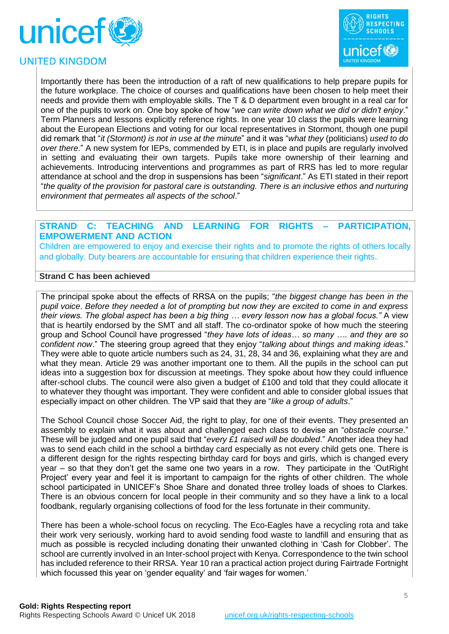





Importantly there has been the introduction of a raft of new qualifications to help prepare pupils for the future workplace. The choice of courses and qualifications have been chosen to help meet their needs and provide them with employable skills. The T & D department even brought in a real car for one of the pupils to work on. One boy spoke of how "*we can write down what we did or didn't enjoy*." Term Planners and lessons explicitly reference rights. In one year 10 class the pupils were learning about the European Elections and voting for our local representatives in Stormont, though one pupil did remark that "*it (Stormont) is not in use at the minute*" and it was "*what they* (politicians) *used to do over there*." A new system for IEPs, commended by ETI, is in place and pupils are regularly involved in setting and evaluating their own targets. Pupils take more ownership of their learning and achievements. Introducing interventions and programmes as part of RRS has led to more regular attendance at school and the drop in suspensions has been "*significant*." As ETI stated in their report "*the quality of the provision for pastoral care is outstanding. There is an inclusive ethos and nurturing environment that permeates all aspects of the school*."

#### **STRAND C: TEACHING AND LEARNING FOR RIGHTS – PARTICIPATION, EMPOWERMENT AND ACTION**

Children are empowered to enjoy and exercise their rights and to promote the rights of others locally and globally. Duty bearers are accountable for ensuring that children experience their rights.

#### **Strand C has been achieved**

The principal spoke about the effects of RRSA on the pupils; "*the biggest change has been in the pupil voice*. *Before they needed a lot of prompting but now they are excited to come in and express their views. The global aspect has been a big thing … every lesson now has a global focus."* A view that is heartily endorsed by the SMT and all staff. The co-ordinator spoke of how much the steering group and School Council have progressed "*they have lots of ideas… so many …. and they are so confident now*." The steering group agreed that they enjoy "*talking about things and making ideas*." They were able to quote article numbers such as 24, 31, 28, 34 and 36, explaining what they are and what they mean. Article 29 was another important one to them. All the pupils in the school can put ideas into a suggestion box for discussion at meetings. They spoke about how they could influence after-school clubs. The council were also given a budget of £100 and told that they could allocate it to whatever they thought was important. They were confident and able to consider global issues that especially impact on other children. The VP said that they are "*like a group of adults*."

The School Council chose Soccer Aid, the right to play, for one of their events. They presented an assembly to explain what it was about and challenged each class to devise an "*obstacle course*." These will be judged and one pupil said that "*every £1 raised will be doubled*." Another idea they had was to send each child in the school a birthday card especially as not every child gets one. There is a different design for the rights respecting birthday card for boys and girls, which is changed every year – so that they don't get the same one two years in a row. They participate in the 'OutRight Project' every year and feel it is important to campaign for the rights of other children. The whole school participated in UNICEF's Shoe Share and donated three trolley loads of shoes to Clarkes. There is an obvious concern for local people in their community and so they have a link to a local foodbank, regularly organising collections of food for the less fortunate in their community.

There has been a whole-school focus on recycling. The Eco-Eagles have a recycling rota and take their work very seriously, working hard to avoid sending food waste to landfill and ensuring that as much as possible is recycled including donating their unwanted clothing in 'Cash for Clobber'. The school are currently involved in an Inter-school project with Kenya. Correspondence to the twin school has included reference to their RRSA. Year 10 ran a practical action project during Fairtrade Fortnight which focussed this year on 'gender equality' and 'fair wages for women.'